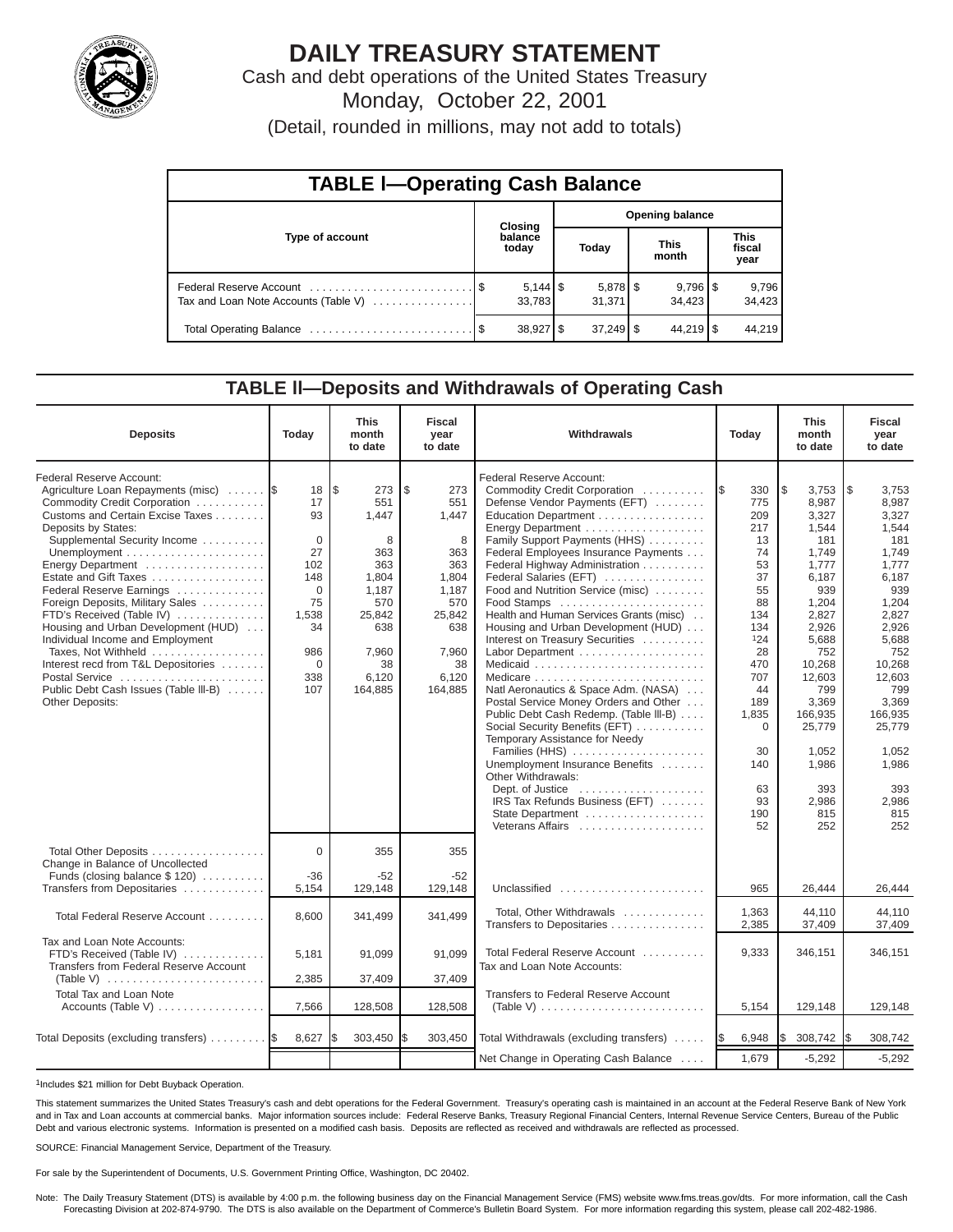

# **DAILY TREASURY STATEMENT**

Cash and debt operations of the United States Treasury Monday, October 22, 2001

(Detail, rounded in millions, may not add to totals)

| <b>TABLE I-Operating Cash Balance</b> |                                   |                  |  |                      |                      |                                 |                               |                 |  |  |
|---------------------------------------|-----------------------------------|------------------|--|----------------------|----------------------|---------------------------------|-------------------------------|-----------------|--|--|
|                                       | <b>Opening balance</b><br>Closing |                  |  |                      |                      |                                 |                               |                 |  |  |
| Type of account                       |                                   | balance<br>today |  | Today                | <b>This</b><br>month |                                 | <b>This</b><br>fiscal<br>year |                 |  |  |
| Tax and Loan Note Accounts (Table V)  |                                   | 33.783           |  | $5,878$ \$<br>31,371 |                      | $9,796$ $\frac{8}{3}$<br>34.423 |                               | 9,796<br>34,423 |  |  |
|                                       |                                   | $38,927$ \$      |  | $37,249$ \$          |                      | $44,219$ $\sqrt{5}$             |                               | 44.219          |  |  |

#### **TABLE ll—Deposits and Withdrawals of Operating Cash**

| <b>Deposits</b>                                                                                                                                                                                                                                                                                                                                                                                                                                                                                                                                                    | Today                                                                                                            | <b>This</b><br>month<br>to date                                                                                            | <b>Fiscal</b><br>year<br>to date                                                                                          | Withdrawals                                                                                                                                                                                                                                                                                                                                                                                                                                                                                                                                                                                                                                                                                                                                                                                                                                                             | Today                                                                                                                                                                                | <b>This</b><br>month<br>to date                                                                                                                                                                                                      | <b>Fiscal</b><br>year<br>to date                                                                                                                                                                                                     |
|--------------------------------------------------------------------------------------------------------------------------------------------------------------------------------------------------------------------------------------------------------------------------------------------------------------------------------------------------------------------------------------------------------------------------------------------------------------------------------------------------------------------------------------------------------------------|------------------------------------------------------------------------------------------------------------------|----------------------------------------------------------------------------------------------------------------------------|---------------------------------------------------------------------------------------------------------------------------|-------------------------------------------------------------------------------------------------------------------------------------------------------------------------------------------------------------------------------------------------------------------------------------------------------------------------------------------------------------------------------------------------------------------------------------------------------------------------------------------------------------------------------------------------------------------------------------------------------------------------------------------------------------------------------------------------------------------------------------------------------------------------------------------------------------------------------------------------------------------------|--------------------------------------------------------------------------------------------------------------------------------------------------------------------------------------|--------------------------------------------------------------------------------------------------------------------------------------------------------------------------------------------------------------------------------------|--------------------------------------------------------------------------------------------------------------------------------------------------------------------------------------------------------------------------------------|
| Federal Reserve Account:<br>Agriculture Loan Repayments (misc)<br>Commodity Credit Corporation<br>Customs and Certain Excise Taxes<br>Deposits by States:<br>Supplemental Security Income<br>Energy Department<br>Estate and Gift Taxes<br>Federal Reserve Earnings<br>Foreign Deposits, Military Sales<br>FTD's Received (Table IV)<br>Housing and Urban Development (HUD)<br>Individual Income and Employment<br>Taxes, Not Withheld<br>Interest recd from T&L Depositories<br>Postal Service<br>Public Debt Cash Issues (Table III-B)<br><b>Other Deposits:</b> | 18<br>17<br>93<br>$\Omega$<br>27<br>102<br>148<br>$\Omega$<br>75<br>1,538<br>34<br>986<br>$\Omega$<br>338<br>107 | l\$<br>273<br>551<br>1.447<br>8<br>363<br>363<br>1,804<br>1,187<br>570<br>25,842<br>638<br>7,960<br>38<br>6,120<br>164,885 | \$<br>273<br>551<br>1,447<br>8<br>363<br>363<br>1.804<br>1,187<br>570<br>25,842<br>638<br>7,960<br>38<br>6,120<br>164,885 | Federal Reserve Account:<br>Commodity Credit Corporation<br>Defense Vendor Payments (EFT)<br>Education Department<br>Energy Department<br>Family Support Payments (HHS)<br>Federal Employees Insurance Payments<br>Federal Highway Administration<br>Federal Salaries (EFT)<br>Food and Nutrition Service (misc)<br>Health and Human Services Grants (misc)<br>Housing and Urban Development (HUD)<br>Interest on Treasury Securities<br>Labor Department<br>Natl Aeronautics & Space Adm. (NASA)<br>Postal Service Money Orders and Other<br>Public Debt Cash Redemp. (Table III-B)<br>Social Security Benefits (EFT)<br>Temporary Assistance for Needy<br>Families (HHS)<br>Unemployment Insurance Benefits<br>Other Withdrawals:<br>Dept. of Justice $\dots\dots\dots\dots\dots\dots\dots$<br>IRS Tax Refunds Business (EFT)<br>State Department<br>Veterans Affairs | 330<br>I\$<br>775<br>209<br>217<br>13<br>74<br>53<br>37<br>55<br>88<br>134<br>134<br>124<br>28<br>470<br>707<br>44<br>189<br>1,835<br>$\Omega$<br>30<br>140<br>63<br>93<br>190<br>52 | l\$<br>3,753<br>8,987<br>3,327<br>1,544<br>181<br>1,749<br>1,777<br>6.187<br>939<br>1,204<br>2,827<br>2,926<br>5,688<br>752<br>10,268<br>12,603<br>799<br>3,369<br>166,935<br>25,779<br>1.052<br>1,986<br>393<br>2,986<br>815<br>252 | l\$<br>3,753<br>8,987<br>3,327<br>1,544<br>181<br>1,749<br>1,777<br>6,187<br>939<br>1,204<br>2,827<br>2,926<br>5,688<br>752<br>10,268<br>12,603<br>799<br>3,369<br>166,935<br>25,779<br>1,052<br>1,986<br>393<br>2,986<br>815<br>252 |
| Total Other Deposits<br>Change in Balance of Uncollected<br>Funds (closing balance $$ 120$ )<br>Transfers from Depositaries                                                                                                                                                                                                                                                                                                                                                                                                                                        | $\Omega$<br>-36<br>5,154                                                                                         | 355<br>$-52$<br>129,148                                                                                                    | 355<br>$-52$<br>129,148                                                                                                   | Unclassified                                                                                                                                                                                                                                                                                                                                                                                                                                                                                                                                                                                                                                                                                                                                                                                                                                                            | 965                                                                                                                                                                                  | 26,444                                                                                                                                                                                                                               | 26,444                                                                                                                                                                                                                               |
| Total Federal Reserve Account                                                                                                                                                                                                                                                                                                                                                                                                                                                                                                                                      | 8,600                                                                                                            | 341,499                                                                                                                    | 341,499                                                                                                                   | Total, Other Withdrawals<br>Transfers to Depositaries                                                                                                                                                                                                                                                                                                                                                                                                                                                                                                                                                                                                                                                                                                                                                                                                                   | 1,363<br>2,385                                                                                                                                                                       | 44.110<br>37,409                                                                                                                                                                                                                     | 44.110<br>37,409                                                                                                                                                                                                                     |
| Tax and Loan Note Accounts:<br>FTD's Received (Table IV)<br>Transfers from Federal Reserve Account<br>(Table V) $\ldots \ldots \ldots \ldots \ldots \ldots \ldots \ldots$                                                                                                                                                                                                                                                                                                                                                                                          | 5,181<br>2,385                                                                                                   | 91,099<br>37,409                                                                                                           | 91,099<br>37,409                                                                                                          | Total Federal Reserve Account<br>Tax and Loan Note Accounts:                                                                                                                                                                                                                                                                                                                                                                                                                                                                                                                                                                                                                                                                                                                                                                                                            | 9,333                                                                                                                                                                                | 346,151                                                                                                                                                                                                                              | 346.151                                                                                                                                                                                                                              |
| <b>Total Tax and Loan Note</b><br>Accounts (Table V)                                                                                                                                                                                                                                                                                                                                                                                                                                                                                                               | 7,566                                                                                                            | 128,508                                                                                                                    | 128,508                                                                                                                   | <b>Transfers to Federal Reserve Account</b><br>(Table V) $\ldots \ldots \ldots \ldots \ldots \ldots \ldots \ldots$                                                                                                                                                                                                                                                                                                                                                                                                                                                                                                                                                                                                                                                                                                                                                      | 5,154                                                                                                                                                                                | 129,148                                                                                                                                                                                                                              | 129,148                                                                                                                                                                                                                              |
| Total Deposits (excluding transfers)                                                                                                                                                                                                                                                                                                                                                                                                                                                                                                                               | 8,627                                                                                                            | 303,450                                                                                                                    | \$<br>303,450                                                                                                             | Total Withdrawals (excluding transfers)                                                                                                                                                                                                                                                                                                                                                                                                                                                                                                                                                                                                                                                                                                                                                                                                                                 | 6,948<br>I\$                                                                                                                                                                         | l\$<br>308,742                                                                                                                                                                                                                       | 308,742<br>I\$                                                                                                                                                                                                                       |
|                                                                                                                                                                                                                                                                                                                                                                                                                                                                                                                                                                    |                                                                                                                  |                                                                                                                            |                                                                                                                           | Net Change in Operating Cash Balance                                                                                                                                                                                                                                                                                                                                                                                                                                                                                                                                                                                                                                                                                                                                                                                                                                    | 1,679                                                                                                                                                                                | $-5,292$                                                                                                                                                                                                                             | $-5,292$                                                                                                                                                                                                                             |

1Includes \$21 million for Debt Buyback Operation.

This statement summarizes the United States Treasury's cash and debt operations for the Federal Government. Treasury's operating cash is maintained in an account at the Federal Reserve Bank of New York and in Tax and Loan accounts at commercial banks. Major information sources include: Federal Reserve Banks, Treasury Regional Financial Centers, Internal Revenue Service Centers, Bureau of the Public Debt and various electronic systems. Information is presented on a modified cash basis. Deposits are reflected as received and withdrawals are reflected as processed.

SOURCE: Financial Management Service, Department of the Treasury.

For sale by the Superintendent of Documents, U.S. Government Printing Office, Washington, DC 20402.

Note: The Daily Treasury Statement (DTS) is available by 4:00 p.m. the following business day on the Financial Management Service (FMS) website www.fms.treas.gov/dts. For more information, call the Cash<br>Forecasting Divisio